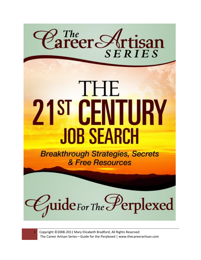



1 Copyright ©2008-2011 Mary Elizabeth Bradford, All Rights Reserved The Career Artisan Series—Guide for the Perplexed | www.thecareerartisan.com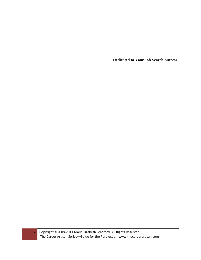**Dedicated to Your Job Search Success**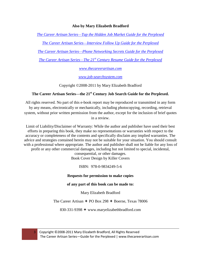## **Also by Mary Elizabeth Bradford**

*The Career Artisan Series—Tap the [Hidden Job Market Guide for the Perplexed](http://www.amazon.com/Mary-Elizabeth-Bradford/e/B004UMSH90/ref=ntt_athr_dp_pel_1)*

*[The Career Artisan Series—Interview Follow Up Guide for the Perplexed](http://www.amazon.com/Mary-Elizabeth-Bradford/e/B004UMSH90/ref=ntt_athr_dp_pel_1)*

*[The Career Artisan Series—Phone Networking Secrets Guide for the Perplexed](http://www.amazon.com/Mary-Elizabeth-Bradford/e/B004UMSH90/ref=ntt_athr_dp_pel_1)*

*The Career Artisan Series—The 21st [Century Resume Guide for the Perplexed](http://www.amazon.com/Mary-Elizabeth-Bradford/e/B004UMSH90/ref=ntt_athr_dp_pel_1)*

*[www.thecareerartisan.com](http://www.thecareerartisan.com/)*

*[www.job-searchsystem.com](http://www.job-searchsystem.com/)*

Copyright ©2008-2011 by Mary Elizabeth Bradford

# **The Career Artisan Series—the 21st Century Job Search Guide for the Perplexed.**

All rights reserved. No part of this e-book report may be reproduced or transmitted in any form by any means, electronically or mechanically, including photocopying, recording, retrieval system, without prior written permission from the author, except for the inclusion of brief quotes in a review.

Limit of Liability/Disclaimer of Warranty: While the author and publisher have used their best efforts in preparing this book, they make no representations or warranties with respect to the accuracy or completeness of the contents and specifically disclaim any implied warranties. The advice and strategies contained herein may not be suitable for your situation. You should consult with a professional where appropriate. The author and publisher shall not be liable for any loss of profit or any other commercial damages, including but not limited to special, incidental,

consequential, or other damages. Book Cover Design by Killer Covers

ISBN: 978-0-9834249-5-6

## **Requests for permission to make copies**

**of any part of this book can be made to:**

Mary Elizabeth Bradford

The Career Artisan  $\div$  PO Box 298  $\div$  Boerne, Texas 78006

830-331-9398  $\leftrightarrow$  www.maryelizabethbradford.com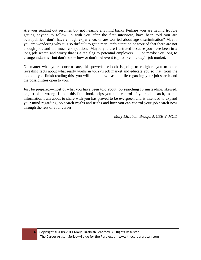Are you sending out resumes but not hearing anything back? Perhaps you are having trouble getting anyone to follow up with you after the first interview, have been told you are overqualified, don't have enough experience, or are worried about age discrimination? Maybe you are wondering why it is so difficult to get a recruiter's attention or worried that there are not enough jobs and too much competition. Maybe you are frustrated because you have been in a long job search and worry that is a red flag to potential employers . . . or maybe you long to change industries but don't know how or don't believe it is possible in today's job market.

No matter what your concerns are, this powerful e-book is going to enlighten you to some revealing facts about what really works in today's job market and educate you so that, from the moment you finish reading this, you will feel a new lease on life regarding your job search and the possibilities open to you.

Just be prepared—most of what you have been told about job searching IS misleading, skewed, or just plain wrong. I hope this little book helps you take control of your job search, as this information I am about to share with you has proved to be evergreen and is intended to expand your mind regarding job search myths and truths and how you can control your job search now through the rest of your career!

—*Mary Elizabeth Bradford, CERW, MCD*

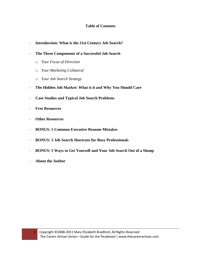## **Table of Contents**

- **Introduction: What is the 21st Century Job Search?**
- **The Three Components of a Successful Job Search**
	- o *Your Focus of Direction*
	- o *Your Marketing Collateral*
	- o *Your Job Search Strategy*
- **The Hidden Job Market: What is it and Why You Should Care**
- **Case Studies and Typical Job Search Problems**
- **Free Resources**
- **Other Resources**
- **BONUS: 5 Common Executive Resume Mistakes**
- **BONUS: 5 Job Search Shortcuts for Busy Professionals**
- **BONUS: 5 Ways to Get Yourself and Your Job Search Out of a Slump**
- **About the Author**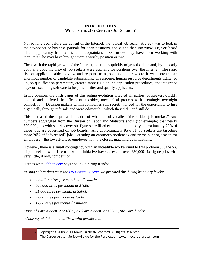#### **INTRODUCTION WHAT IS THE 21ST CENTURY JOB SEARCH?**

Not so long ago, before the advent of the Internet, the typical job search strategy was to look in the newspaper or business journals for open positions, apply, and then interview. Or, you heard of an opportunity from a friend or acquaintance. Executives may have been working with recruiters who may have brought them a worthy position or two.

Then, with the rapid growth of the Internet, open jobs quickly migrated online and, by the early 2000's, a good majority of job seekers were applying for positions over the Internet. The rapid rise of applicants able to view and respond to a job—no matter where it was—created an enormous number of candidate submissions. In response, human resource departments tightened up job qualification parameters, created more rigid online application procedures, and integrated keyword scanning software to help them filter and qualify applicants.

In my opinion, the birth pangs of this online evolution affected all parties. Jobseekers quickly noticed and suffered the effects of a colder, mechanical process with seemingly overnight competition. Decision makers within companies still secretly longed for the opportunity to hire organically through referrals and word-of-mouth—which they did—and still do.

This increased the depth and breadth of what is today called "the hidden job market." And numbers aggregated from the Bureau of Labor and Statistics show (for example) that nearly 300,000 jobs with salaries over six figures are filled each month, but only approximately 20% of those jobs are advertised on job boards. And approximately 95% of job seekers are targeting those 20% of "advertised" jobs—creating an enormous bottleneck and prime hunting season for employers—the lowest-priced employee with the closest matching qualifications.

However, there is a small contingency with an incredible workaround to this problem . . . the 5% of job seekers who dare to take the initiative have access to over 250,000 six-figure jobs with very little, if any, competition.

Here is what [jobbait.com](http://www.jobbait.com/) says about US hiring trends:

*\*Using salary data from the [US Census Bureau,](http://www.census.gov/) we prorated this hiring by salary levels:*

- *4 million hires per month at all salaries*
- *400,000 hires per month at \$100k+*
- *31,000 hires per month at \$300k+*
- *9,000 hires per month at \$500k+*
- *1,800 hires per month \$1 million+*

*Most jobs are hidden. At \$100K, 75% are hidden. At \$300K, 90% are hidden*

*\*Courtesy of Jobbait.com. Used with permission.*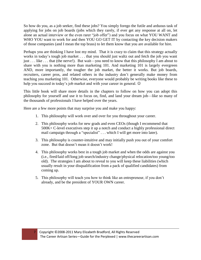So how do you, as a job seeker, find these jobs? You simply forego the futile and arduous task of applying for jobs on job boards (jobs which they rarely, if ever get any response at all on, let alone an actual interview or the even rarer "job offer") and you focus on what YOU WANT and WHO YOU want to work for and then YOU GO GET IT by contacting the key decision makers of those companies (and I mean the top brass) to let them know that you are available for hire.

Perhaps you are thinking I have lost my mind. That it is crazy to claim that this strategy actually works in today's tough job market . . . that you should just waltz out and fetch the job you want just . . . like . . . that (the nerve!). But wait—you need to know that this philosophy I am about to share with you is nothing more than marketing 101. And marketing 101 is largely evergreen AND, more importantly, the tougher the job market, the better it works. But job boards, recruiters, career pros, and related others in the industry don't generally make money from teaching you marketing 101. Otherwise, everyone would probably be writing books like these to help you succeed in today's job market and with your career in general.  $\odot$ 

This little book will share more details in the chapters to follow on how you can adopt this philosophy for yourself and use it to focus on, find, and land your dream job—like so many of the thousands of professionals I have helped over the years.

Here are a few more points that may surprise you and make you happy:

- 1. This philosophy will work over and over for you throughout your career.
- 2. This philosophy works for new grads and even CEOs (though I recommend that 500K+ C-level executives step it up a notch and conduct a highly professional direct mail campaign through a "specialist" . . . which I will get more into later).
- 3. This philosophy is counter-intuitive and may initially push you out of your comfort zone. But that doesn't mean it doesn't work!
- 4. This philosophy works best in a tough job market and when the odds are against you (i.e., fired/laid off/long job search/industry change/physical relocation/too young/too old). The strategies I am about to reveal to you will keep these liabilities (which usually result in your disqualification from a pack of qualified candidates) from coming up.
- 5. This philosophy will teach you how to think like an entrepreneur, if you don't already, and be the president of YOUR OWN career.

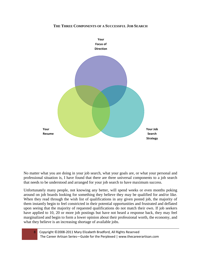#### **THE THREE COMPONENTS OF A SUCCESSFUL JOB SEARCH**



No matter what you are doing in your job search, what your goals are, or what your personal and professional situation is, I have found that there are three universal components to a job search that needs to be understood and arranged for your job search to have maximum success.

Unfortunately many people, not knowing any better, will spend weeks or even months poking around on job boards looking for something they believe they may be qualified for and/or like. When they read through the wish list of qualifications in any given posted job, the majority of them instantly begin to feel constricted in their potential opportunities and frustrated and deflated upon seeing that the majority of requested qualifications do not match their own. If job seekers have applied to 10, 20 or more job postings but have not heard a response back, they may feel marginalized and begin to form a lower opinion about their professional worth, the economy, and what they believe is an increasing shortage of available jobs.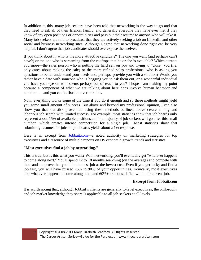In addition to this, many job seekers have been told that networking is the way to go and that they need to ask all of their friends, family, and generally everyone they have ever met if they know of any open positions or opportunities and pass out their resume to anyone who will take it. Many job seekers are told to broadcast that they are actively seeking a job on LinkedIn and other social and business networking sites. Although I agree that networking done right can be very helpful, I don't agree that job candidates should overexpose themselves.

If you think about it: who is the more attractive candidate? The one you want (and perhaps can't have?) or the one who is screaming from the rooftops that he or she is available? Which attracts you more—the sales person who is putting the hard sell on you and trying to "close" you (i.e. only cares about making the sale) or the more refined sales professional who is asking you questions to better understand your needs and, perhaps, provide you with a solution? Would you rather have a date with someone who is begging you to ask them out, or a wonderful individual you have your eye on who seems perhaps out of reach to you? I hope I am making my point because a component of what we are talking about here does involve human behavior and emotion . . . and you can't afford to overlook this.

Now, everything works some of the time if you do it enough and so these methods might yield you some small amount of success. But above and beyond my professional opinion, I can also show you that statistics prove that using these methods outlined above create a long and laborious job search with limited success. For example, most statistics show that job boards only represent about 15% of available positions and the majority of job seekers will go after this small number—which creates intense competition for a single job. Most statistics show that submitting resumes for jobs on job boards yields about a 1% response.

Here is an excerpt from [Jobbait.com—](http://www.jobbait.com/)a noted authority on marketing strategies for top executives and a resource of multiple reports on US economic growth trends and statistics:

## **"Most executives find a job by networking."**

This is true, but is this what you want? With networking, you'll eventually get "whatever happens to come along next." You'll spend 12 to 18 months searching (on the average) and compete with thousands to prove that you'll do the best job at the lowest cost. Even if you get lucky and find a job fast, you will have missed 75% to 90% of your opportunities. Ironically, most executives take whatever happens to come along next, and 60%+ are not satisfied with their current job.

## —**Excerpt from Jobbait.com**

It is worth noting that, although Jobbait's clients are generally C-level executives, the philosophy and job market knowledge they share is applicable to all job seekers at all levels.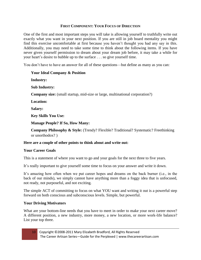## **FIRST COMPONENT: YOUR FOCUS OF DIRECTION**

One of the first and most important steps you will take is allowing yourself to truthfully write out exactly what you want in your next position. If you are still in job board mentality you might find this exercise uncomfortable at first because you haven't thought you had any say in this. Additionally, you may need to take some time to think about the following items. If you have never given yourself permission to dream about your dream job before, it may take a while for your heart's desire to bubble up to the surface . . . so give yourself time.

You don't have to have an answer for all of these questions—but define as many as you can:

## **Your Ideal Company & Position**

**Industry:** 

**Sub Industry:**

**Company size:** (small startup, mid-size or large, multinational corporation?)

**Location:** 

**Salary:**

**Key Skills You Use:**

**Manage People? If So, How Many:**

**Company Philosophy & Style:** (Trendy? Flexible? Traditional? Systematic? Freethinking or unorthodox? )

## **Here are a couple of other points to think about and write out:**

## **Your Career Goals**

This is a statement of where you want to go and your goals for the next three to five years.

It's really important to give yourself some time to focus on your answer and write it down.

It's amazing how often when we put career hopes and dreams on the back burner (i.e., in the back of our minds), we simply cannot have anything more than a foggy idea that is unfocused, not ready, not purposeful, and not exciting.

The simple ACT of committing to focus on what YOU want and writing it out is a powerful step forward on both conscious and subconscious levels. Simple, but powerful.

## **Your Driving Motivators**

What are your bottom-line needs that you have to meet in order to make your next career move? A different position, a new industry, more money, a new location, or more work-life balance? List your top three.

10 Copyright ©2008-2011 Mary Elizabeth Bradford, All Rights Reserved The Career Artisan Series—Guide for the Perplexed | www.thecareerartisan.com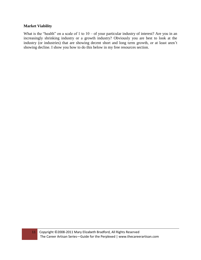### **Market Viability**

What is the "health" on a scale of 1 to  $10 -$  of your particular industry of interest? Are you in an increasingly shrinking industry or a growth industry? Obviously you are best to look at the industry (or industries) that are showing decent short and long term growth, or at least aren't showing decline. I show you how to do this below in my free resources section.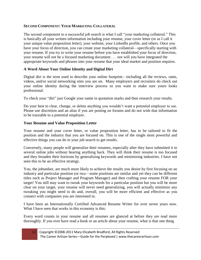## **SECOND COMPONENT: YOUR MARKETING COLLATERAL**

The second component to a successful job search is what I call "your marketing collateral." This is basically all your written information including your resume, your cover letter (or as I call it your unique value proposition letter), your website, your LinkedIn profile, and others. Once you have your focus of direction, you can create your marketing collateral—specifically starting with your resume. If you try to write your resume before you have established your focus of direction, your resume will not be a focused marketing document . . . nor will you have integrated the appropriate keywords and phrases into your resume that your ideal market and position requires.

## **A Word About Your Online Identity and Digital Dirt**

Digital dirt is the term used to describe your online footprint—including all the reviews, rants, videos, and/or social networking sites you are on. Many employers and recruiters do check out your online identity during the interview process so you want to make sure yours looks professional.

To check your "dirt" just Google your name in quotation marks and then research your results.

Do your best to clear, change, or delete anything you wouldn't want a potential employer to see. Please use discretion and an alias if you are posting on forums and do not wish that information to be traceable to a potential employer.

## **Your Resume and Value Proposition Letter**

Your resume and your cover letter, or value proposition letter, has to be tailored to fit the position and the industry that you are focused on. This is one of the single most powerful and effective things you can do in your job search to get results.

Conversely, many people will generalize their resumes, especially after they have submitted it to several online jobs without hearing anything back. They will think their resume is too focused and they broaden their horizons by generalizing keywords and minimizing industries. I have not seen this to be an effective strategy.

You, the jobseeker, are much more likely to achieve the results you desire by first focusing on an industry and particular position (or two—some positions are similar and yet they can be different titles such as Project Manager and Program Manager) and then crafting your resume FOR your target! You still may want to tweak your keywords for a particular position but you will be more clear on your target, your resume will never need generalizing, you will actually minimize any tweaking you might need to do and, overall, you will be more efficient and effective as you connect with companies you are interested in.

I have been an Internationally Certified Advanced Resume Writer for over seven years now. What I have seen that works in this economy is this:

Every word counts in your resume and all resumes are glanced at before they are read more thoroughly. If you ever have read a book or an article about your resume, what is that one thing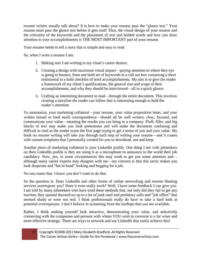resume writers usually talk about? It is how to make your resume pass the "glance test." Your resume must pass the glance test before it gets read! Thus, the visual design of your resume and the criticality of the keywords and the placement of text and bolded words and how you draw attention to your accomplishments is THE MOST IMPORTANT part of your resume.

Your resume needs to tell a story that is simple and easy to read.

So, when I write a resume I am:

- 1. Making sure I am writing to my client's career desires.
- 2. Creating a design with maximum visual impact—paying attention to where they eye is going to bounce, from one bold set of keywords to a call out box containing a short testimonial to a bold checklist of brief accomplishments. My aim is to give the reader a framework of my client's qualifications, the general size and scope of their accomplishments, and why they should be interviewed—all in a quick glance.
- 3. Crafting an interesting document to read—through the entire document. This involves creating a storyline the reader can follow that is interesting enough to hold the reader's attention.

To summarize, your marketing collateral—your resume, your value proposition letter, and your written (email or hard mail) correspondence—should all be well written, clear, focused, and communicate your value—meaning the results you can bring to a company. Fluff, filler, and big blocks of text may make you look pretentious and will make the document confusing and difficult to read as the reader scans the first page trying to get a sense of you and your value. My book on resume writing will take you through each step of writing your resume—and it comes with custom templates that I personally created for you to download, use and keep.

Another piece of marketing collateral is your LinkedIn profile. One thing I see with jobseekers on their LinkedIn profile is they are using it as a microphone to announce to the world their job candidacy. Now, yes, in some circumstances this may work to get you some attention and although many career experts may disagree with me—my concern is that this tactic makes you look desperate and "hat in hand" looking and begging for a job.

No one wants that. I know you don't want to do that.

So the question is: Does LinkedIn and other forms of online networking and resume blasting services overexpose you? Does it even really work? Well, I have some feedback I can give you. I am told by many jobseekers who have tried these methods that, not only did they fail to get any traction, they opened themselves up to a lot of junk mail and predatory calls and "job offers" that seemed shady or were not real. I think professionals really do have to take a hard look at potential overexposure. I don't believe in screaming from the rooftops that you are available.

Rather, I think making yourself look attractive, demonstrating your value, and selectively connecting with the companies and persons with whom YOU wish to converse is a far wiser and more effective strategy. There are ways to network and use LinkedIn that easily achieve this!

13 Copyright ©2008-2011 Mary Elizabeth Bradford, All Rights Reserved The Career Artisan Series—Guide for the Perplexed | www.thecareerartisan.com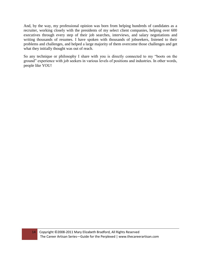And, by the way, my professional opinion was born from helping hundreds of candidates as a recruiter, working closely with the presidents of my select client companies, helping over 600 executives through every step of their job searches, interviews, and salary negotiations and writing thousands of resumes. I have spoken with thousands of jobseekers, listened to their problems and challenges, and helped a large majority of them overcome those challenges and get what they initially thought was out of reach.

So any technique or philosophy I share with you is directly connected to my "boots on the ground" experience with job seekers in various levels of positions and industries. In other words, people like YOU!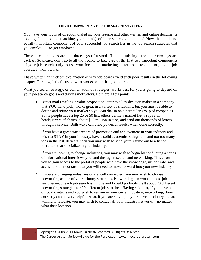## **THIRD COMPONENT: YOUR JOB SEARCH STRATEGY**

You have your focus of direction dialed in, your resume and other written and online documents looking fabulous and matching your area(s) of interest—congratulations! Now the third and equally important component of your successful job search lies in the job search strategies that you employ . . . to get employed!

These three strategies are like three legs of a stool. If one is missing—the other two legs are useless. So please, don't go to all the trouble to take care of the first two important components of your job search, only to use your focus and marketing materials to respond to jobs on job boards. It won't work.

I have written an in-depth explanation of why job boards yield such poor results in the following chapter. For now, let's focus on what works better than job boards.

What job search strategy, or combination of strategies, works best for you is going to depend on your job search goals and driving motivators. Here are a few points;

- 1. Direct mail (mailing a value proposition letter to a key decision maker in a company that YOU hand pick) works great in a variety of situations, but you must be able to define and refine your market so you can dial in on a particular group of companies. Some people have a top 25 or 50 list; others define a market (let's say retail headquarters of chains, about \$50 million in size) and send out thousands of letters through a service. Both ways can yield powerful results when done correctly.
- 2. If you have a great track record of promotion and achievement in your industry and wish to STAY in your industry, have a solid academic background and not too many jobs in the last 10 years, then you may wish to send your resume out to a list of recruiters that specialize in your industry.
- 3. If you are looking to change industries, you may wish to begin by conducting a series of informational interviews you land through research and networking. This allows you to gain access to the portal of people who have the knowledge, insider info, and access to other contacts that you will need to move forward into your new industry.
- 4. If you are changing industries or are well connected, you may wish to choose networking as one of your primary strategies. Networking can work in most job searches—but each job search is unique and I could probably craft about 20 different networking strategies for 20 different job searches. Having said that, if you have a lot of local contacts and you wish to remain in your current location, networking, done correctly can be very helpful. Also, if you are staying in your current industry and are willing to relocate, you may wish to contact all your industry networks—no matter what their location.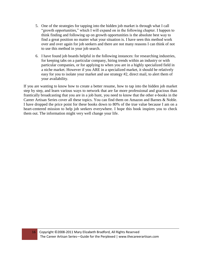- 5. One of the strategies for tapping into the hidden job market is through what I call "growth opportunities," which I will expand on in the following chapter. I happen to think finding and following up on growth opportunities is the absolute best way to find a great position no matter what your situation is. I have seen this method work over and over again for job seekers and there are not many reasons I can think of not to use this method in your job search.
- 6. I have found job boards helpful in the following instances: for researching industries, for keeping tabs on a particular company, hiring trends within an industry or with particular companies, or for applying to when you are in a highly specialized field in a niche market. However if you ARE in a specialized market, it should be relatively easy for you to isolate your market and use strategy #2, direct mail, to alert them of your availability.

If you are wanting to know how to create a better resume, how to tap into the hidden job market step by step, and learn various ways to network that are far more professional and gracious than frantically broadcasting that you are in a job hunt, you need to know that the other e-books in the Career Artisan Series cover all these topics. You can find them on Amazon and Barnes & Noble. I have dropped the price point for these books down to 80% of the true value because I am on a heart-centered mission to help job seekers everywhere. I hope this book inspires you to check them out. The information might very well change your life.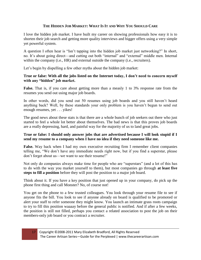## **THE HIDDEN JOB MARKET: WHAT IS IT AND WHY YOU SHOULD CARE**

I love the hidden job market. I have built my career on showing professionals how easy it is to shorten their job search and getting more quality interviews and bigger offers using a very simple yet powerful system.

A question I often hear is "Isn't tapping into the hidden job market just networking?" In short, no. It's about going direct—and cutting out both "internal" and "external" middle men. Internal within the company (i.e., HR) and external outside the company (i.e., recruiters).

Let's begin by dispelling a few other myths about the hidden job market:

## **True or false: With all the jobs listed on the Internet today, I don't need to concern myself with any "hidden" job market.**

**False.** That is, if you care about getting more than a measly 1 to 3% response rate from the resumes you send out using major job boards.

In other words, did you send out 50 resumes using job boards and you still haven't heard anything back? Well, by these standards your only problem is you haven't begun to send out enough resumes, yet . . . yikes!

The good news about these stats is that there are a whole bunch of job seekers out there who just started to feel a whole lot better about themselves. The bad news is that this proves job boards are a really depressing, hard, and painful way for the majority of us to land great jobs.

## **True or false: I should only answer jobs that are advertised because I will look stupid if I send my resume to a company when I have no idea if they need someone like me.**

**False.** Way back when I had my own executive recruiting firm I remember client companies telling me, "We don't have any immediate needs right now, but if you find a superstar, please don't forget about us—we want to see their resume!"

Not only do companies always make time for people who are "superstars" (and a lot of this has to do with the way you market yourself to them), but most companies go through **at least five steps to fill a position** before they will post the position to a major job board.

Think about it. If you have a key position that just opened up in your company, do pick up the phone first thing and call Monster? No, of course not!

You get on the phone to a few trusted colleagues. You look through your resume file to see if anyone fits the bill. You look to see if anyone already on board is qualified to be promoted or alert your staff to refer someone they might know. You launch an intimate grass roots campaign to try to fill this position waaaay before the general public is notified. And if after a few weeks, the position is still not filled, perhaps you contact a related association to post the job on their members-only job board or you contract a recruiter.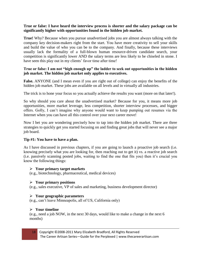## **True or false: I have heard the interview process is shorter and the salary package can be significantly higher with opportunities found in the hidden job market.**

**True!** Why? Because when you pursue unadvertised jobs you are almost always talking with the company key decision-makers right from the start. You have more creativity to sell your skills and build the value of who you can be to the company. And finally, because these interviews usually lack the formality of a full-blown human resource-driven candidate search, your competition is significantly lower AND the salary terms are less likely to be chiseled in stone. I have seen this play out in my clients' favor time after time!

## **True or false: I am not "high enough up" the ladder to seek out opportunities in the hidden job market. The hidden job market only applies to executives.**

**False.** ANYONE (and I mean even if you are right out of college) can enjoy the benefits of the hidden job market. These jobs are available on all levels and in virtually all industries.

The trick is to hone your focus so you actually achieve the results you want (more on that later!).

So why should you care about the unadvertised market? Because for you, it means more job opportunities, more market leverage, less competition, shorter interview processes, and bigger offers. Golly, I can't imagine why anyone would want to keep pumping out resumes via the Internet when you can have all this control over your next career move!

Now I bet you are wondering precisely how to tap into the hidden job market. There are three strategies to quickly get you started focusing on and finding great jobs that will never see a major job board.

## **Tip #1: You have to have a plan.**

As I have discussed in previous chapters, if you are going to launch a proactive job search (i.e. knowing precisely what you are looking for, then reaching out to get it) vs. a reactive job search (i.e. passively scanning posted jobs, waiting to find the one that fits you) then it's crucial you know the following things:

#### **Your primary target markets**

(e.g., biotechnology, pharmaceutical, medical devices)

## **Your primary positions**

(e.g., sales executive, VP of sales and marketing, business development director)

## **Your geographic parameters**

(e.g., can't leave Minneapolis, all of US, California only)

## **Your timeline**

(e.g., need a job NOW, in the next 30 days, would like to make a change in the next 6 months)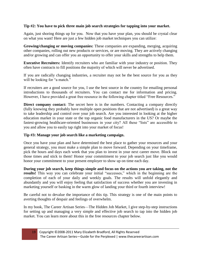## **Tip #2: You have to pick three main job search strategies for tapping into your market.**

Again, just shoring things up for you. Now that you have your plan, you should be crystal clear on what you want! Here are just a few hidden job market techniques you can utilize:

**Growing/changing or moving companies:** These companies are expanding, merging, acquiring other companies, rolling out new products or services, or are moving. They are actively changing and/or growing and can offer you an opportunity to offer your skills and strengths to help them.

**Executive Recruiters:** Identify recruiters who are familiar with your industry or position. They often have contracts to fill positions the majority of which will never be advertised.

If you are radically changing industries, a recruiter may not be the best source for you as they will be looking for "a match."

If recruiters are a good source for you, I use the best source in the country for emailing personal introductions to thousands of recruiters. You can contact me for information and pricing. However, I have provided a great free resource in the following chapter titled "Free Resources."

**Direct company contact:** The secret here is in the numbers. Contacting a company directly (fully knowing they probably have multiple open positions that are not advertised) is a great way to take leadership and control over your job search. Are you interested in looking at the higher education market in your state or the top organic food manufacturers in the US? Or maybe the fastest-growing healthcare-oriented businesses in your city? All these "lists" are accessible to you and allow you to easily tap right into your market of focus!

## **Tip #3: Manage your job search like a marketing campaign.**

Once you have your plan and have determined the best place to gather your resources and your general strategy, you must make a simple plan to move forward. Depending on your timeframe, pick the hours and days each week that you plan to invest in your next career move. Block out those times and stick to them! Honor your commitment to your job search just like you would honor your commitment to your present employer to show up on time each day.

**During your job search, keep things simple and focus on the actions you are taking, not the results!** This way you can celebrate your initial "successes," which in the beginning are the completion of each of your daily and weekly goals. The results will unfold elegantly and abundantly and you will enjoy feeling that satisfaction of success whether you are investing in marketing yourself or basking in the warm glow of landing your third or fourth interview!

Be careful not to devalue the importance of this tip. This strategy is one of the main points to averting thoughts of despair and feelings of overwhelm.

In my book, The Career Artisan Series—The Hidden Job Market, I give step-by-step instructions for setting up and managing a very simple and effective job search to tap into the hidden job market. You can learn more about this in the free resources chapter below.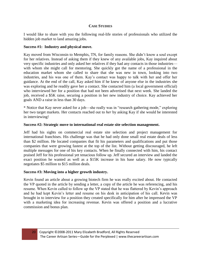## **CASE STUDIES**

I would like to share with you the following real-life stories of professionals who utilized the hidden job market to land amazing jobs.

### **Success #1: Industry and physical move.**

Kay moved from Wisconsin to Memphis, TN, for family reasons. She didn't know a soul except for her relatives. Instead of asking them if they knew of any available jobs, Kay inquired about very specific industries and only asked her relatives if they had any contacts in those industries with whom she might call for mentoring. She quickly got the name of a professional in the education market whom she called to share that she was new in town, looking into two industries, and his was one of them. Kay's contact was happy to talk with her and offer her guidance. At the end of the call, Kay asked him if he knew of anyone else in the industries she was exploring and he readily gave her a contact. She contacted him (a local government official) who interviewed her for a position that had not been advertised that next week. She landed the job, received a \$5K raise, securing a position in her new industry of choice. Kay achieved her goals AND a raise in less than 30 days.

\* Notice that Kay never asked for a job—she really was in "research gathering mode," exploring her two target markets. Her contacts reached out to *her* by asking Kay if she would be interested in interviewing!

### **Success #2: Strategic move to international real estate site selection management.**

Jeff had his sights on commercial real estate site selection and project management for international franchises. His challenge was that he had only done small real estate deals of less than \$2 million. He located companies that fit his parameters and qualifications and put those companies that were growing fastest at the top of the list. Without getting discouraged, he left multiple messages for one of his key contacts. When he finally connected with him, his contact praised Jeff for his professional yet tenacious follow up. Jeff secured an interview and landed the exact position he wanted as well as a \$15K increase in his base salary. He now typically negotiates \$5 million to \$15 million deals.

#### **Success #3: Moving into a higher growth industry.**

Kevin found an article about a growing biotech firm he was really excited about. He contacted the VP quoted in the article by sending a letter, a copy of the article he was referencing, and his resume. When Kevin called to follow up the VP stated that he was flattered by Kevin's approach and he had kept Kevin's letter and resume on his desk in anticipation of his call. Kevin was brought in to interview for a position they created specifically for him after he impressed the VP with a marketing idea for increasing revenue. Kevin was offered a position and a lucrative commission and bonus plan.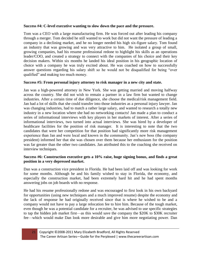## **Success #4: C-level executive wanting to slow down the pace and the pressure.**

Tom was a CEO with a large manufacturing firm. He was forced out after leading his company through a merger. Tom decided he still wanted to work but did not want the pressure of leading a company in a declining market, and he no longer needed his high six-figure salary. Tom found an industry that was growing and was very attractive to him. He isolated a group of small, growing companies, had his resume professional redone to highlight his skills as an operations leader/COO, and created a strategy to connect with the companies of his choice and their key decision makers. Within six months he landed his ideal position in his geographic location of choice with a company he was truly excited about. He was coached on how to successfully answer questions regarding his salary shift so he would not be disqualified for being "over qualified" and making too much money.

## **Success #5: From personal injury attorney to risk manager in a new city and state.**

Jan was a high-powered attorney in New York. She was getting married and moving halfway across the country. She did not wish to remain a partner in a law firm but wanted to change industries. After a certain time of due diligence, she choose the medical/risk management field. Jan had a lot of skills that she could transfer into those industries as a personal injury lawyer. Jan was changing industries, had to match a rather large salary, and wanted to research a totally new industry in a new location where she had no networking contacts! Jan made a plan to conduct a series of informational interviews with key players in her markets of interest. After a series of informational interviews, two turned into actual interviews. She was hired by a developer of healthcare facilities for the position of risk manager. It is interesting to note that the two candidates that were her competition for that position had significantly more risk management experience than Jan and were local and known in the community. Jan's new boss (the company president) informed her that she was chosen over them because her enthusiasm for the position was far greater than the other two candidates. Jan attributed this to the coaching she received on interview techniques.

### **Success #6: Construction executive gets a 10% raise, huge signing bonus, and finds a great position in a very depressed market.**

Dan was a construction vice president in Florida. He had been laid off and was looking for work for some months. Although he and his family wished to stay in Florida, the economy, and especially the construction market, had been extremely hard hit and he had spent months answering jobs on job boards with no response.

He had his resume professionally redone and was encouraged to first look in his own backyard for opportunities (using new techniques and a much improved resume) despite the economy and the lack of response he had originally received since that is where he wished to be and a company would not have to pay a large relocation fee to hire him. Because of the tough market, even though he was a potential candidate for a recruiter, he was advised to use specific strategies to tap the hidden job market first—as this would save the company the \$20K to \$30K recruiter fee—which would make Dan look more desirable and give him more negotiating power. Dan

21 Copyright ©2008-2011 Mary Elizabeth Bradford, All Rights Reserved The Career Artisan Series—Guide for the Perplexed | www.thecareerartisan.com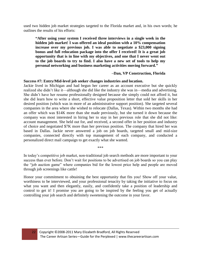used two hidden job market strategies targeted to the Florida market and, in his own words; he outlines the results of his efforts:

**"After using your system I received three interviews in a single week in the hidden job market! I was offered an ideal position with a 10% compensation increase over my previous job. I was able to negotiate a \$23,000 signing bonus and full relocation package into the offer I received! It is a great job opportunity that is in line with my objectives, and one that I never went out to the job boards to try to find. I also have a new set of tools to help my personal networking and business marketing activities moving forward."** 

### **–Dan, VP Construction, Florida**

#### **Success #7: Entry/Mid-level job seeker changes industries and location.**

Jackie lived in Michigan and had begun her career as an account executive but she quickly realized she didn't like it—although she did like the industry she was in—media and advertising. She didn't have her resume professionally designed because she simply could not afford it, but she did learn how to write a short, effective value proposition letter that sold her skills in her desired position (which was in more of an administrative support position). She targeted several companies in the area where she wished to relocate (Dallas, Texas). Within two months she had an offer which was \$14K more than she made previously, but she turned it down because the company was most interested in hiring her to stay in her previous role that she did not like: account management. She held out for, and received, a second offer in her position and industry of choice and negotiated \$7K more than her previous position. The company that hired her was based in Dallas. Jackie never answered a job on job boards, targeted small and mid-size companies, connected directly with top management of each company, and conducted a personalized direct mail campaign to get exactly what she wanted.

\*\*\*

In today's competitive job market, non-traditional job search methods are more important to your success than ever before. Don't wait for positions to be advertised on job boards so you can play the "job auction game" where companies bid for the lowest price help and people are moved through job screenings like cattle!

Honor your commitment to obtaining the best opportunity that fits you! Show off your value, worthiness to be interviewed, and your professional tenacity by taking the initiative to focus on what you want and then elegantly, easily, and confidently take a position of leadership and control to get it! I promise you are going to be inspired by the feeling you get of actually controlling your job search and definitely sweetening the outcome in your favor.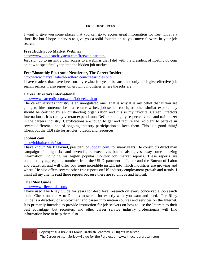#### **FREE RESOURCES**

I want to give you some places that you can go to access great information for free. This is a short list but I hope it serves to give you a solid foundation as you move forward in your job search.

### **Free Hidden Job Market Webinar:**

<http://www.job-searchsystem.com/freewebinar.html>

Just sign up to instantly gain access to a webinar that I did with the president of Ilostmyjob.com on how to specifically tap into the hidden job market.

#### **Free Bimonthly Electronic Newsletter, The Career Insider:**

<http://www.maryelizabethbradford.com/freearticles.php>

I have readers that have been on my e-zine for years because not only do I give effective job search secrets, I also report on growing industries where the jobs are.

#### **Career Directors International**

#### <http://www.careerdirectors.com/jobseeker.htm>

The career services industry is an unregulated one. That is why it is my belief that if you are going to hire someone, be it a resume writer, job search coach, or other similar expert, they should be certified by an outstanding organization and this is my favorite, Career Directors International. It is run by veteran expert Laura DeCarlo, a highly respected voice and trail blazer in the careers industry. Certifications are tough to get and require the recipient to partake in several different kinds of ongoing industry participation to keep them. This is a good thing! Check out the CDI site for articles, videos, and resources.

#### **Jobbait.com**

#### <http://jobbait.com/e/start.htm>

I have known Mark Hovind, president of **Jobbait.com**, for many years. He constructs direct mail campaigns for high six- and seven-figure executives but he also gives away some amazing information, including his highly popular monthly job market reports. These reports are compiled by aggregating numbers from the US Department of Labor and the Bureau of Labor and Statistics, and will offer you some incredible insight into which industries are growing and where. He also offers several other free reports on US industry employment growth and trends. I insist all my clients read these reports because there are so unique and helpful.

#### **The Riley Guide**

#### <http://www.rileyguide.com/>

I have used The Riley Guide for years for deep level research on every conceivable job search topic! Check out the A to Z index to search for exactly what you want and need. The Riley Guide is a directory of employment and career information sources and services on the Internet. It is primarily intended to provide instruction for job seekers on how to use the Internet to their best advantage, but recruiters and other career service industry professionals will find information here to help them also.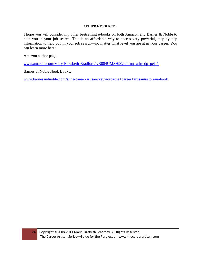#### **OTHER RESOURCES**

I hope you will consider my other bestselling e-books on both Amazon and Barnes & Noble to help you in your job search. This is an affordable way to access very powerful, step-by-step information to help you in your job search—no matter what level you are at in your career. You can learn more here:

Amazon author page:

[www.amazon.com/Mary-Elizabeth-Bradford/e/B004UMSH90/ref=ntt\\_athr\\_dp\\_pel\\_1](http://www.amazon.com/Mary-Elizabeth-Bradford/e/B004UMSH90/ref=ntt_athr_dp_pel_1)

Barnes & Noble Nook Books:

[www.barnesandnoble.com/s/the-career-artisan?keyword=the+career+artisan&store=e-book](http://www.barnesandnoble.com/s/the-career-artisan?keyword=the+career+artisan&store=e-book)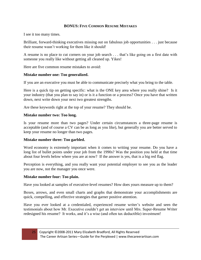## **BONUS: FIVE COMMON RESUME MISTAKES**

I see it too many times.

Brilliant, forward-thinking executives missing out on fabulous job opportunities . . . just because their resume wasn't working for them like it should!

A resume is no place to cut corners on your job search . . . that's like going on a first date with someone you really like without getting all cleaned up. Yikes!

Here are five common resume mistakes to avoid:

#### **Mistake number one: Too generalized.**

If you are an executive you must be able to communicate precisely what you bring to the table.

Here is a quick tip on getting specific: what is the ONE key area where you really shine? Is it your industry (that you plan to say in) or is it a function or a process? Once you have that written down, next write down your next two greatest strengths.

Are these keywords right at the top of your resume? They should be.

#### **Mistake number two: Too long.**

Is your resume more than two pages? Under certain circumstances a three-page resume is acceptable (and of course a CV can be as long as you like), but generally you are better served to keep your resume no longer than two pages.

#### **Mistake number three: Too garbled.**

Word economy is extremely important when it comes to writing your resume. Do you have a long list of bullet points under your job from the 1990s? Was the position you held at that time about four levels below where you are at now? If the answer is yes, that is a big red flag.

Perception is everything, and you really want your potential employer to see you as the leader you are now, not the manager you once were.

#### **Mistake number four: Too plain.**

Have you looked at samples of executive-level resumes? How does yours measure up to them?

Boxes, arrows, and even small charts and graphs that demonstrate your accomplishments are quick, compelling, and effective strategies that garner positive attention.

Have you ever looked at a credentialed, experienced resume writer's website and seen the testimonials about how Mr. Executive couldn't get an interview until Mrs. Super-Resume Writer redesigned his resume? It works, and it's a wise (and often tax deductible) investment!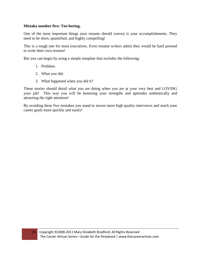### **Mistake number five: Too boring.**

One of the most important things your resume should convey is your accomplishments. They need to be short, quantified, and highly compelling!

This is a tough one for most executives. Even resume writers admit they would be hard pressed to write their own resume!

But you can begin by using a simple template that includes the following:

- 1. Problem.
- 2. What you did.
- 3. What happened when you did it?

These stories should detail what you are doing when you are at your very best and LOVING your job! This way you will be honoring your strengths and aptitudes authentically and attracting the right attention!

By avoiding these five mistakes you stand to secure more high quality interviews and reach your career goals more quickly and easily!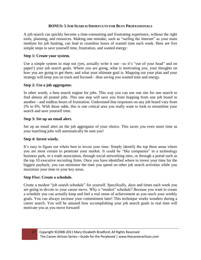## **BONUS: 5 JOB SEARCH SHORTCUTS FOR BUSY PROFESSIONALS**

A job search can quickly become a time-consuming and frustrating experience, without the right tools, planning, and resources. Making one mistake, such as "surfing the Internet" as your main medium for job hunting, can lead to countless hours of wasted time each week. Here are five simple steps to save yourself time, frustration, and wasted energy:

### **Step 1: Create your system.**

Use a simple system to map out (yes, actually write it out—so it's "out of your head" and on paper!) your job search goals. Where you are going, what is motivating you, your thoughts on how you are going to get there, and what your ultimate goal is. Mapping out your plan and your strategy will keep you on track and focused—thus saving you wasted time and energy.

### **Step 2: Use a job aggregator.**

In other words, a beta search engine for jobs. This way you can use one site for one search to find almost all posted jobs. This one step will save you from hopping from one job board to another—and endless hours of frustration. Understand that responses on any job board vary from 2% to 6%. With those odds, this is one critical area you really want to look to streamline your search and save yourself time.

### **Step 3: Set up an email alert.**

Set up an email alert on the job aggregator of your choice. This saves you even more time as your matching jobs will automatically be sent you!

## **Step 4: Invest wisely.**

It's easy to figure out where best to invest your time. Simply identify the top three areas where you are most certain to penetrate your market. It could be "like companies" in a technology business park, or a trade association, through social networking sites, or through a portal such as the top 10 executive recruiting firms. Once you have identified where to invest your time for the biggest payback, you can minimize the time you spend on other job search activities while you maximize your time in your key areas.

#### **Step Five: Create a schedule.**

Create a modest "job search schedule" for yourself. Specifically, days and times each week you are going to devote to your career move. Why a "modest" schedule? Because you want to create a schedule you can actually keep and feel a real sense of achievement as you reach your weekly goals. You can always increase your commitment later! This technique works wonders during a career search. You will be amazed how accomplishing your job search goals in real time will motivate you as you move forward!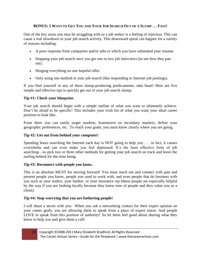## **BONUS: 5 WAYS TO GET YOU AND YOUR JOB SEARCH OUT OF A SLUMP . . . FAST!**

One of the key areas you may be struggling with as a job seeker is a feeling of rejection. This can cause a real slowdown in your job search activity. This downward spiral can happen for a variety of reasons including:

- A poor response from companies and/or jobs to which you have submitted your resume.
- Stopping your job search once you get one or two job interviews (to see how they pan out).
- Hinging everything on one hopeful offer.
- Only using one method in your job search (like responding to Internet job postings).

If you find yourself in any of these slump-producing predicaments, take heart! Here are five simple and effective tips to quickly get out of your job search slump:

## **Tip #1: Check your blueprint.**

Your job search should begin with a simple outline of what you want to ultimately achieve. Don't be afraid to be specific! This includes your wish list of what you want your ideal career position to look like.

From there you can easily target markets, brainstorm on secondary markets, define your geographic preferences, etc. To reach your goals, you must know clearly where you are going.

## **Tip #2: Get out from behind your computer!**

Spending hours searching the Internet each day is NOT going to help you . . . in fact, it causes overwhelm and can even make you feel depressed. It's the least effective form of job searching—so pick two or three other methods for getting your job search on track and leave the surfing behind for the time being.

## **Tip #3: Reconnect with people you know.**

This is an absolute MUST for moving forward! You must reach out and connect with past and present people you know, people you used to work with, and even people that do business with you such as your realtor, your banker, or your insurance rep (these people are especially helpful by the way if you are looking locally because they know tons of people and they value you as a client).

# **Tip #4: Stop worrying that you are bothering people!**

I will share a secret with you. When you ask a networking contact for their expert opinion on your career goals, you are allowing them to speak from a place of expert status. And people LOVE to speak from this position of authority! So let them feel good about sharing what they know to help you and give them a call!

28 Copyright ©2008-2011 Mary Elizabeth Bradford, All Rights Reserved The Career Artisan Series—Guide for the Perplexed | www.thecareerartisan.com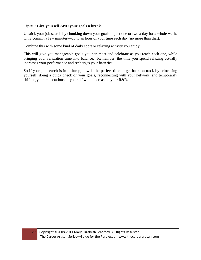## **Tip #5: Give yourself AND your goals a break.**

Unstick your job search by chunking down your goals to just one or two a day for a whole week. Only commit a few minutes—up to an hour of your time each day (no more than that).

Combine this with some kind of daily sport or relaxing activity you enjoy.

This will give you manageable goals you can meet and celebrate as you reach each one, while bringing your relaxation time into balance. Remember, the time you spend relaxing actually increases your performance and recharges your batteries!

So if your job search is in a slump, now is the perfect time to get back on track by refocusing yourself, doing a quick check of your goals, reconnecting with your network, and temporarily shifting your expectations of yourself while increasing your R&R.